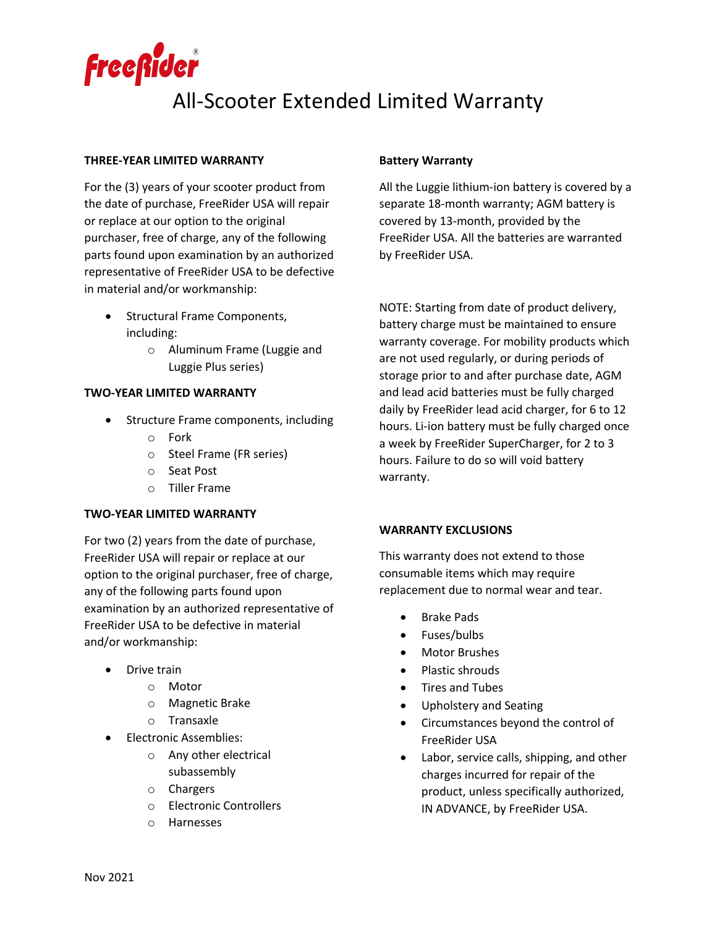

# All-Scooter Extended Limited Warranty

#### **THREE-YEAR LIMITED WARRANTY**

For the (3) years of your scooter product from the date of purchase, FreeRider USA will repair or replace at our option to the original purchaser, free of charge, any of the following parts found upon examination by an authorized representative of FreeRider USA to be defective in material and/or workmanship:

- Structural Frame Components, including:
	- o Aluminum Frame (Luggie and Luggie Plus series)

#### **TWO-YEAR LIMITED WARRANTY**

- Structure Frame components, including
	- o Fork
	- o Steel Frame (FR series)
	- o Seat Post
	- o Tiller Frame

#### **TWO-YEAR LIMITED WARRANTY**

For two (2) years from the date of purchase, FreeRider USA will repair or replace at our option to the original purchaser, free of charge, any of the following parts found upon examination by an authorized representative of FreeRider USA to be defective in material and/or workmanship:

- Drive train
	- o Motor
	- o Magnetic Brake
	- o Transaxle
- Electronic Assemblies:
	- o Any other electrical subassembly
	- o Chargers
	- o Electronic Controllers
	- o Harnesses

## **Battery Warranty**

All the Luggie lithium-ion battery is covered by a separate 18-month warranty; AGM battery is covered by 13-month, provided by the FreeRider USA. All the batteries are warranted by FreeRider USA.

NOTE: Starting from date of product delivery, battery charge must be maintained to ensure warranty coverage. For mobility products which are not used regularly, or during periods of storage prior to and after purchase date, AGM and lead acid batteries must be fully charged daily by FreeRider lead acid charger, for 6 to 12 hours. Li-ion battery must be fully charged once a week by FreeRider SuperCharger, for 2 to 3 hours. Failure to do so will void battery warranty.

### **WARRANTY EXCLUSIONS**

This warranty does not extend to those consumable items which may require replacement due to normal wear and tear.

- Brake Pads
- Fuses/bulbs
- Motor Brushes
- Plastic shrouds
- Tires and Tubes
- Upholstery and Seating
- Circumstances beyond the control of FreeRider USA
- Labor, service calls, shipping, and other charges incurred for repair of the product, unless specifically authorized, IN ADVANCE, by FreeRider USA.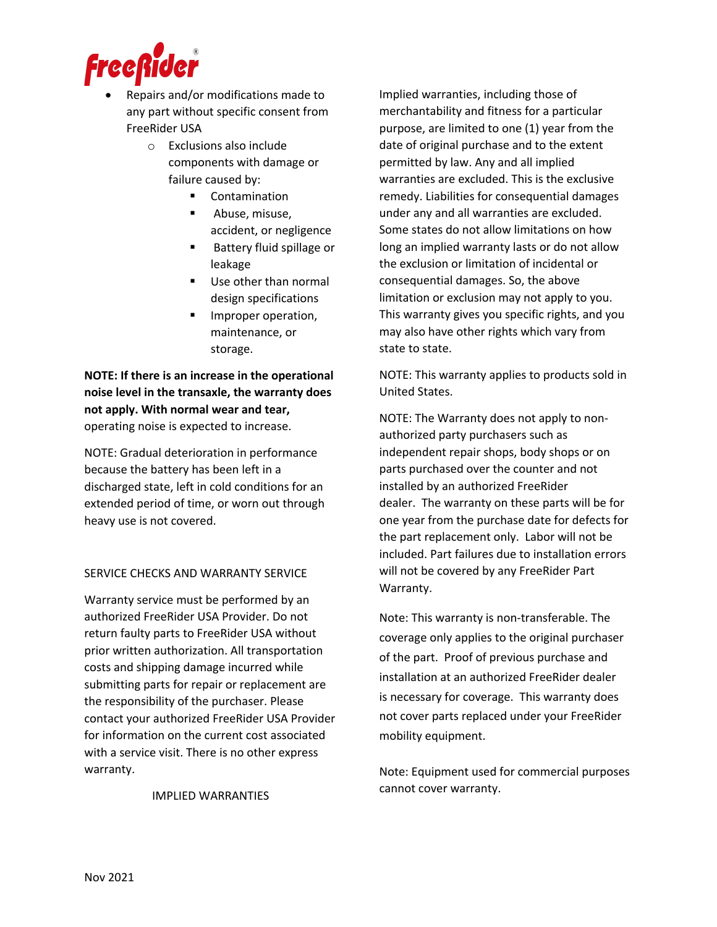

- Repairs and/or modifications made to any part without specific consent from FreeRider USA
	- o Exclusions also include components with damage or failure caused by:
		- **Contamination**
		- § Abuse, misuse, accident, or negligence
		- § Battery fluid spillage or leakage
		- Use other than normal design specifications
		- Improper operation, maintenance, or storage.

**NOTE: If there is an increase in the operational noise level in the transaxle, the warranty does not apply. With normal wear and tear,**  operating noise is expected to increase.

NOTE: Gradual deterioration in performance because the battery has been left in a discharged state, left in cold conditions for an extended period of time, or worn out through heavy use is not covered.

## SERVICE CHECKS AND WARRANTY SERVICE

Warranty service must be performed by an authorized FreeRider USA Provider. Do not return faulty parts to FreeRider USA without prior written authorization. All transportation costs and shipping damage incurred while submitting parts for repair or replacement are the responsibility of the purchaser. Please contact your authorized FreeRider USA Provider for information on the current cost associated with a service visit. There is no other express warranty.

IMPLIED WARRANTIES

Implied warranties, including those of merchantability and fitness for a particular purpose, are limited to one (1) year from the date of original purchase and to the extent permitted by law. Any and all implied warranties are excluded. This is the exclusive remedy. Liabilities for consequential damages under any and all warranties are excluded. Some states do not allow limitations on how long an implied warranty lasts or do not allow the exclusion or limitation of incidental or consequential damages. So, the above limitation or exclusion may not apply to you. This warranty gives you specific rights, and you may also have other rights which vary from state to state.

NOTE: This warranty applies to products sold in United States.

NOTE: The Warranty does not apply to nonauthorized party purchasers such as independent repair shops, body shops or on parts purchased over the counter and not installed by an authorized FreeRider dealer. The warranty on these parts will be for one year from the purchase date for defects for the part replacement only. Labor will not be included. Part failures due to installation errors will not be covered by any FreeRider Part Warranty.

Note: This warranty is non-transferable. The coverage only applies to the original purchaser of the part. Proof of previous purchase and installation at an authorized FreeRider dealer is necessary for coverage. This warranty does not cover parts replaced under your FreeRider mobility equipment.

Note: Equipment used for commercial purposes cannot cover warranty.